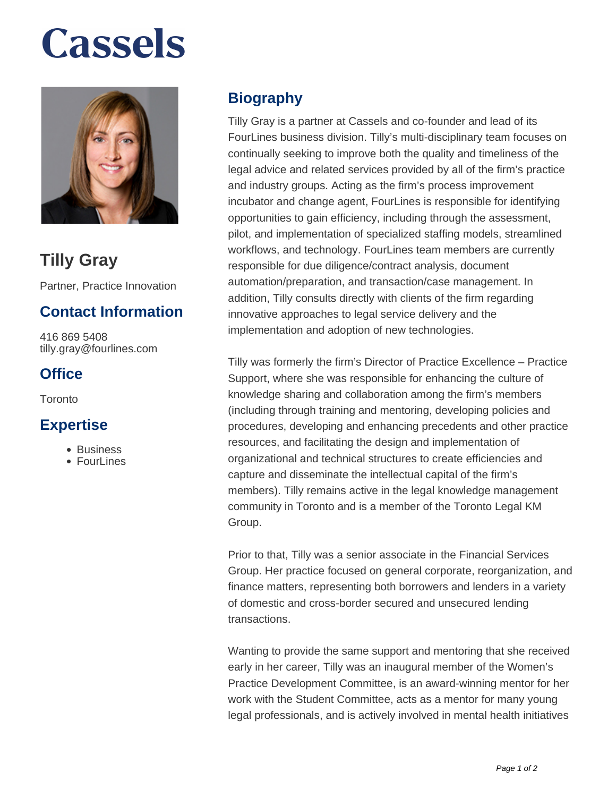# **Cassels**



## **Tilly Gray**

Partner, Practice Innovation

### **Contact Information**

416 869 5408 tilly.gray@fourlines.com

### **Office**

**Toronto** 

#### **Expertise**

- Business
- FourLines

### **Biography**

Tilly Gray is a partner at Cassels and co-founder and lead of its FourLines business division. Tilly's multi-disciplinary team focuses on continually seeking to improve both the quality and timeliness of the legal advice and related services provided by all of the firm's practice and industry groups. Acting as the firm's process improvement incubator and change agent, FourLines is responsible for identifying opportunities to gain efficiency, including through the assessment, pilot, and implementation of specialized staffing models, streamlined workflows, and technology. FourLines team members are currently responsible for due diligence/contract analysis, document automation/preparation, and transaction/case management. In addition, Tilly consults directly with clients of the firm regarding innovative approaches to legal service delivery and the implementation and adoption of new technologies.

Tilly was formerly the firm's Director of Practice Excellence – Practice Support, where she was responsible for enhancing the culture of knowledge sharing and collaboration among the firm's members (including through training and mentoring, developing policies and procedures, developing and enhancing precedents and other practice resources, and facilitating the design and implementation of organizational and technical structures to create efficiencies and capture and disseminate the intellectual capital of the firm's members). Tilly remains active in the legal knowledge management community in Toronto and is a member of the Toronto Legal KM Group.

Prior to that, Tilly was a senior associate in the Financial Services Group. Her practice focused on general corporate, reorganization, and finance matters, representing both borrowers and lenders in a variety of domestic and cross-border secured and unsecured lending transactions.

Wanting to provide the same support and mentoring that she received early in her career, Tilly was an inaugural member of the Women's Practice Development Committee, is an award-winning mentor for her work with the Student Committee, acts as a mentor for many young legal professionals, and is actively involved in mental health initiatives